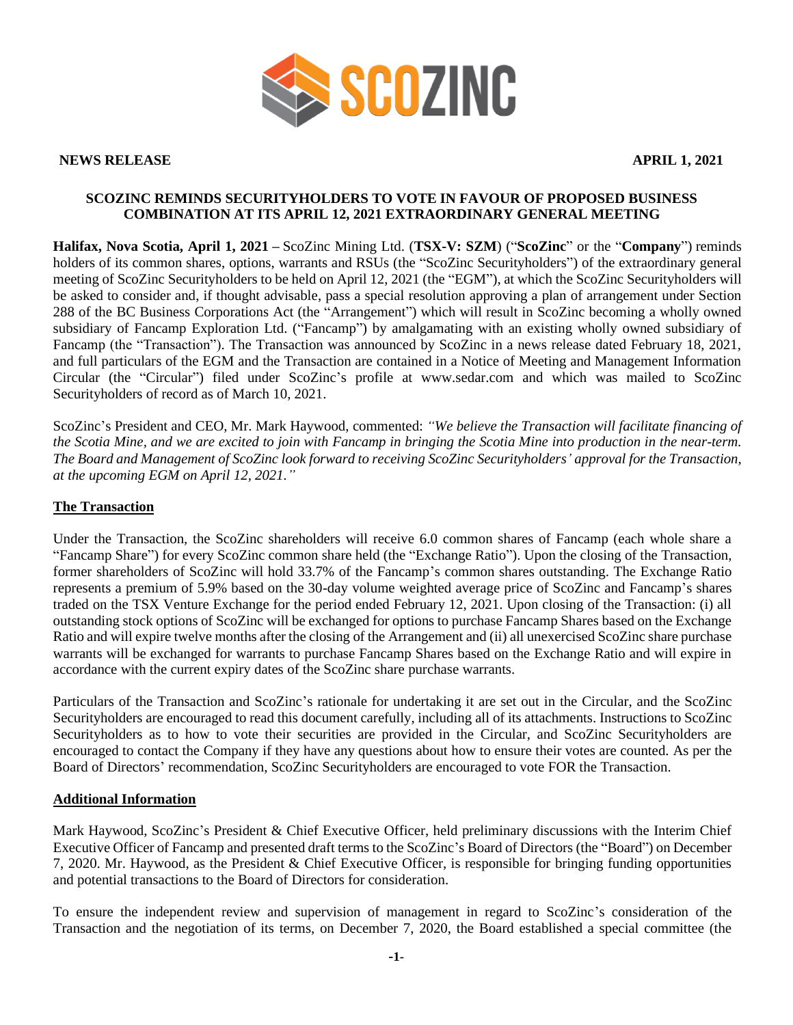

**NEWS RELEASE APRIL 1, 2021**

## **SCOZINC REMINDS SECURITYHOLDERS TO VOTE IN FAVOUR OF PROPOSED BUSINESS COMBINATION AT ITS APRIL 12, 2021 EXTRAORDINARY GENERAL MEETING**

**Halifax, Nova Scotia, April 1, 2021 –** ScoZinc Mining Ltd. (**TSX-V: SZM**) ("**ScoZinc**" or the "**Company**") reminds holders of its common shares, options, warrants and RSUs (the "ScoZinc Securityholders") of the extraordinary general meeting of ScoZinc Securityholders to be held on April 12, 2021 (the "EGM"), at which the ScoZinc Securityholders will be asked to consider and, if thought advisable, pass a special resolution approving a plan of arrangement under Section 288 of the BC Business Corporations Act (the "Arrangement") which will result in ScoZinc becoming a wholly owned subsidiary of Fancamp Exploration Ltd. ("Fancamp") by amalgamating with an existing wholly owned subsidiary of Fancamp (the "Transaction"). The Transaction was announced by ScoZinc in a news release dated February 18, 2021, and full particulars of the EGM and the Transaction are contained in a Notice of Meeting and Management Information Circular (the "Circular") filed under ScoZinc's profile at www.sedar.com and which was mailed to ScoZinc Securityholders of record as of March 10, 2021.

ScoZinc's President and CEO, Mr. Mark Haywood, commented: *"We believe the Transaction will facilitate financing of the Scotia Mine, and we are excited to join with Fancamp in bringing the Scotia Mine into production in the near-term. The Board and Management of ScoZinc look forward to receiving ScoZinc Securityholders' approval for the Transaction, at the upcoming EGM on April 12, 2021."*

### **The Transaction**

Under the Transaction, the ScoZinc shareholders will receive 6.0 common shares of Fancamp (each whole share a "Fancamp Share") for every ScoZinc common share held (the "Exchange Ratio"). Upon the closing of the Transaction, former shareholders of ScoZinc will hold 33.7% of the Fancamp's common shares outstanding. The Exchange Ratio represents a premium of 5.9% based on the 30-day volume weighted average price of ScoZinc and Fancamp's shares traded on the TSX Venture Exchange for the period ended February 12, 2021. Upon closing of the Transaction: (i) all outstanding stock options of ScoZinc will be exchanged for options to purchase Fancamp Shares based on the Exchange Ratio and will expire twelve months after the closing of the Arrangement and (ii) all unexercised ScoZinc share purchase warrants will be exchanged for warrants to purchase Fancamp Shares based on the Exchange Ratio and will expire in accordance with the current expiry dates of the ScoZinc share purchase warrants.

Particulars of the Transaction and ScoZinc's rationale for undertaking it are set out in the Circular, and the ScoZinc Securityholders are encouraged to read this document carefully, including all of its attachments. Instructions to ScoZinc Securityholders as to how to vote their securities are provided in the Circular, and ScoZinc Securityholders are encouraged to contact the Company if they have any questions about how to ensure their votes are counted. As per the Board of Directors' recommendation, ScoZinc Securityholders are encouraged to vote FOR the Transaction.

#### **Additional Information**

Mark Haywood, ScoZinc's President & Chief Executive Officer, held preliminary discussions with the Interim Chief Executive Officer of Fancamp and presented draft terms to the ScoZinc's Board of Directors (the "Board") on December 7, 2020. Mr. Haywood, as the President & Chief Executive Officer, is responsible for bringing funding opportunities and potential transactions to the Board of Directors for consideration.

To ensure the independent review and supervision of management in regard to ScoZinc's consideration of the Transaction and the negotiation of its terms, on December 7, 2020, the Board established a special committee (the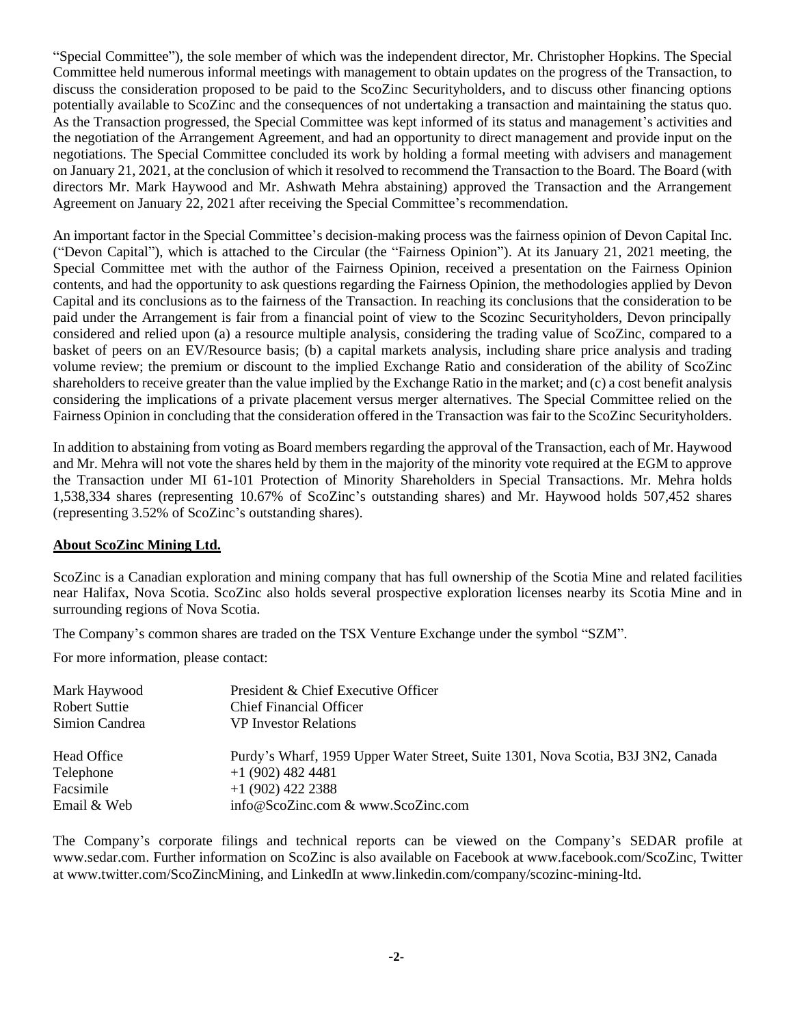"Special Committee"), the sole member of which was the independent director, Mr. Christopher Hopkins. The Special Committee held numerous informal meetings with management to obtain updates on the progress of the Transaction, to discuss the consideration proposed to be paid to the ScoZinc Securityholders, and to discuss other financing options potentially available to ScoZinc and the consequences of not undertaking a transaction and maintaining the status quo. As the Transaction progressed, the Special Committee was kept informed of its status and management's activities and the negotiation of the Arrangement Agreement, and had an opportunity to direct management and provide input on the negotiations. The Special Committee concluded its work by holding a formal meeting with advisers and management on January 21, 2021, at the conclusion of which it resolved to recommend the Transaction to the Board. The Board (with directors Mr. Mark Haywood and Mr. Ashwath Mehra abstaining) approved the Transaction and the Arrangement Agreement on January 22, 2021 after receiving the Special Committee's recommendation.

An important factor in the Special Committee's decision-making process was the fairness opinion of Devon Capital Inc. ("Devon Capital"), which is attached to the Circular (the "Fairness Opinion"). At its January 21, 2021 meeting, the Special Committee met with the author of the Fairness Opinion, received a presentation on the Fairness Opinion contents, and had the opportunity to ask questions regarding the Fairness Opinion, the methodologies applied by Devon Capital and its conclusions as to the fairness of the Transaction. In reaching its conclusions that the consideration to be paid under the Arrangement is fair from a financial point of view to the Scozinc Securityholders, Devon principally considered and relied upon (a) a resource multiple analysis, considering the trading value of ScoZinc, compared to a basket of peers on an EV/Resource basis; (b) a capital markets analysis, including share price analysis and trading volume review; the premium or discount to the implied Exchange Ratio and consideration of the ability of ScoZinc shareholders to receive greater than the value implied by the Exchange Ratio in the market; and (c) a cost benefit analysis considering the implications of a private placement versus merger alternatives. The Special Committee relied on the Fairness Opinion in concluding that the consideration offered in the Transaction was fair to the ScoZinc Securityholders.

In addition to abstaining from voting as Board members regarding the approval of the Transaction, each of Mr. Haywood and Mr. Mehra will not vote the shares held by them in the majority of the minority vote required at the EGM to approve the Transaction under MI 61-101 Protection of Minority Shareholders in Special Transactions. Mr. Mehra holds 1,538,334 shares (representing 10.67% of ScoZinc's outstanding shares) and Mr. Haywood holds 507,452 shares (representing 3.52% of ScoZinc's outstanding shares).

#### **About ScoZinc Mining Ltd.**

ScoZinc is a Canadian exploration and mining company that has full ownership of the Scotia Mine and related facilities near Halifax, Nova Scotia. ScoZinc also holds several prospective exploration licenses nearby its Scotia Mine and in surrounding regions of Nova Scotia.

The Company's common shares are traded on the TSX Venture Exchange under the symbol "SZM".

For more information, please contact:

| Mark Haywood<br>Robert Suttie | President & Chief Executive Officer<br><b>Chief Financial Officer</b>            |
|-------------------------------|----------------------------------------------------------------------------------|
| Simion Candrea                | <b>VP</b> Investor Relations                                                     |
| Head Office                   | Purdy's Wharf, 1959 Upper Water Street, Suite 1301, Nova Scotia, B3J 3N2, Canada |
| Telephone                     | $+1(902)$ 482 4481                                                               |
| Facsimile                     | $+1$ (902) 422 2388                                                              |
| Email & Web                   | info@ScoZinc.com & www.ScoZinc.com                                               |

The Company's corporate filings and technical reports can be viewed on the Company's SEDAR profile at [www.sedar.com.](about:blank) Further information on ScoZinc is also available on Facebook at www.facebook.com/ScoZinc, Twitter at www.twitter.com/ScoZincMining, and LinkedIn at www.linkedin.com/company/scozinc-mining-ltd.